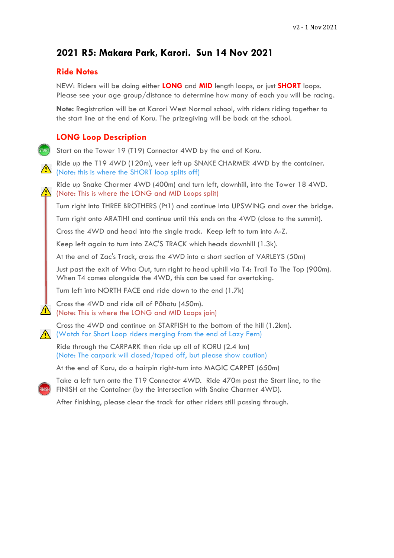# **2021 R5: Makara Park, Karori. Sun 14 Nov 2021**

#### **Ride Notes**

NEW: Riders will be doing either **LONG** and **MID** length loops, or just **SHORT** loops. Please see your age group/distance to determine how many of each you will be racing.

**Note:** Registration will be at Karori West Normal school, with riders riding together to the start line at the end of Koru. The prizegiving will be back at the school.

### **LONG Loop Description**

Start on the Tower 19 (T19) Connector 4WD by the end of Koru.

Ride up the T19 4WD (120m), veer left up SNAKE CHARMER 4WD by the container.  $\Delta$  (Note: this is where the SHORT loop splits off)

Ride up Snake Charmer 4WD (400m) and turn left, downhill, into the Tower 18 4WD.  $\sqrt{!}$  (Note: This is where the LONG and MID Loops split)

Turn right into THREE BROTHERS (Pt1) and continue into UPSWING and over the bridge.

Turn right onto ARATIHI and continue until this ends on the 4WD (close to the summit).

Cross the 4WD and head into the single track. Keep left to turn into A-Z.

Keep left again to turn into ZAC'S TRACK which heads downhill (1.3k).

At the end of Zac's Track, cross the 4WD into a short section of VARLEYS (50m)

Just past the exit of Wha Out, turn right to head uphill via T4: Trail To The Top (900m). When T4 comes alongside the 4WD, this can be used for overtaking.

Turn left into NORTH FACE and ride down to the end (1.7k)

Cross the 4WD and ride all of Pōhatu (450m). (Note: This is where the LONG and MID Loops join)

Cross the 4WD and continue on STARFISH to the bottom of the hill (1.2km).  $\sqrt{N}$  (Watch for Short Loop riders merging from the end of Lazy Fern)

Ride through the CARPARK then ride up all of KORU (2.4 km) (Note: The carpark will closed/taped off, but please show caution)

At the end of Koru, do a hairpin right-turn into MAGIC CARPET (650m)

Take a left turn onto the T19 Connector 4WD. Ride 470m past the Start line, to the FINISH at the Container (by the intersection with Snake Charmer 4WD).

After finishing, please clear the track for other riders still passing through.

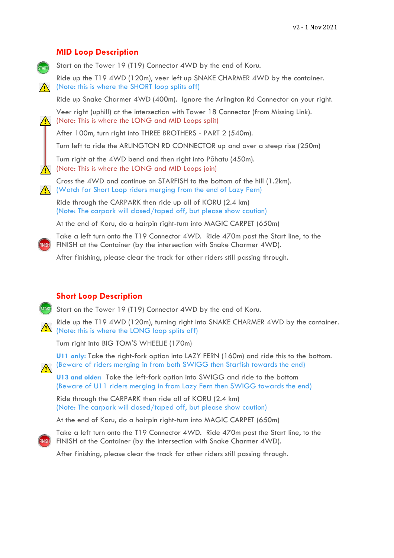### **MID Loop Description**

Start on the Tower 19 (T19) Connector 4WD by the end of Koru.

Ride up the T19 4WD (120m), veer left up SNAKE CHARMER 4WD by the container. (Note: this is where the SHORT loop splits off)

Ride up Snake Charmer 4WD (400m). Ignore the Arlington Rd Connector on your right.

Veer right (uphill) at the intersection with Tower 18 Connector (from Missing Link).  $\sqrt{N}$  (Note: This is where the LONG and MID Loops split)

After 100m, turn right into THREE BROTHERS - PART 2 (540m).

Turn left to ride the ARLINGTON RD CONNECTOR up and over a steep rise (250m)

Turn right at the 4WD bend and then right into Pōhatu (450m). (Note: This is where the LONG and MID Loops join)

Cross the 4WD and continue on STARFISH to the bottom of the hill (1.2km).

(Watch for Short Loop riders merging from the end of Lazy Fern)

Ride through the CARPARK then ride up all of KORU (2.4 km) (Note: The carpark will closed/taped off, but please show caution)

At the end of Koru, do a hairpin right-turn into MAGIC CARPET (650m)

Take a left turn onto the T19 Connector 4WD. Ride 470m past the Start line, to the FINISH at the Container (by the intersection with Snake Charmer 4WD).

After finishing, please clear the track for other riders still passing through.

### **Short Loop Description**

**STARD** Start on the Tower 19 (T19) Connector 4WD by the end of Koru.

Ride up the T19 4WD (120m), turning right into SNAKE CHARMER 4WD by the container.  $\triangle$  (Note: this is where the LONG loop splits off)

Turn right into BIG TOM'S WHEELIE (170m)

**U11 only:** Take the right-fork option into LAZY FERN (160m) and ride this to the bottom. (Beware of riders merging in from both SWIGG then Starfish towards the end)

**U13 and older:** Take the left-fork option into SWIGG and ride to the bottom (Beware of U11 riders merging in from Lazy Fern then SWIGG towards the end)

Ride through the CARPARK then ride all of KORU (2.4 km) (Note: The carpark will closed/taped off, but please show caution)

At the end of Koru, do a hairpin right-turn into MAGIC CARPET (650m)

Take a left turn onto the T19 Connector 4WD. Ride 470m past the Start line, to the FINISH at the Container (by the intersection with Snake Charmer 4WD).

After finishing, please clear the track for other riders still passing through.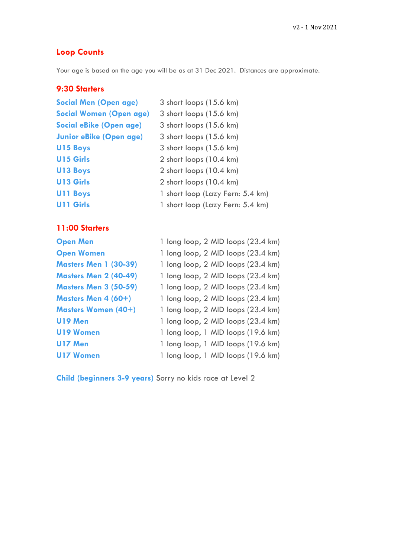# **Loop Counts**

Your age is based on the age you will be as at 31 Dec 2021. Distances are approximate.

## **9:30 Starters**

| <b>Social Men (Open age)</b>   | 3 short loops (15.6 km)          |
|--------------------------------|----------------------------------|
| <b>Social Women (Open age)</b> | 3 short loops (15.6 km)          |
| <b>Social eBike (Open age)</b> | 3 short loops (15.6 km)          |
| <b>Junior eBike (Open age)</b> | 3 short loops (15.6 km)          |
| <b>U15 Boys</b>                | 3 short loops (15.6 km)          |
| <b>U15 Girls</b>               | 2 short loops (10.4 km)          |
| <b>U13 Boys</b>                | 2 short loops (10.4 km)          |
| <b>U13 Girls</b>               | 2 short loops (10.4 km)          |
| <b>U11 Boys</b>                | 1 short loop (Lazy Fern: 5.4 km) |
| <b>U11 Girls</b>               | 1 short loop (Lazy Fern: 5.4 km) |

# **11:00 Starters**

| <b>Open Men</b>              | 1 long loop, 2 MID loops (23.4 km) |
|------------------------------|------------------------------------|
| <b>Open Women</b>            | 1 long loop, 2 MID loops (23.4 km) |
| <b>Masters Men 1 (30-39)</b> | 1 long loop, 2 MID loops (23.4 km) |
| <b>Masters Men 2 (40-49)</b> | 1 long loop, 2 MID loops (23.4 km) |
| <b>Masters Men 3 (50-59)</b> | 1 long loop, 2 MID loops (23.4 km) |
| Masters Men 4 (60+)          | 1 long loop, 2 MID loops (23.4 km) |
| <b>Masters Women (40+)</b>   | 1 long loop, 2 MID loops (23.4 km) |
| <b>U19 Men</b>               | 1 long loop, 2 MID loops (23.4 km) |
| <b>U19 Women</b>             | 1 long loop, 1 MID loops (19.6 km) |
| U17 Men                      | 1 long loop, 1 MID loops (19.6 km) |
| <b>U17 Women</b>             | 1 long loop, 1 MID loops (19.6 km) |

**Child (beginners 3-9 years)** Sorry no kids race at Level 2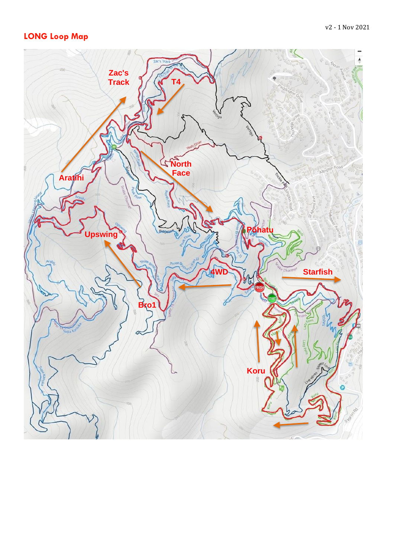# **LONG Loop Map**

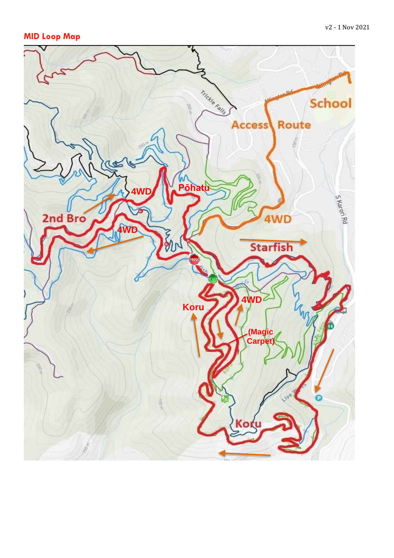# **MID Loop Map**